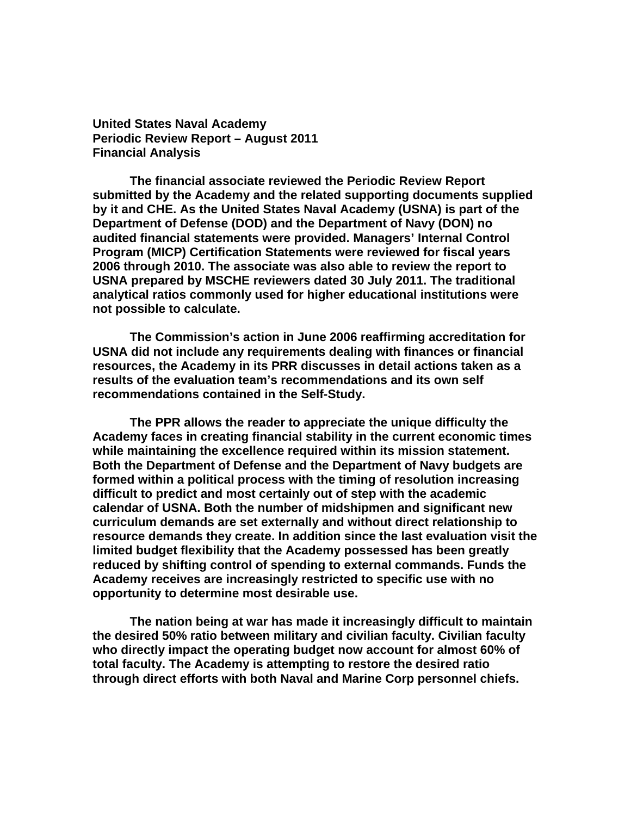**United States Naval Academy Periodic Review Report – August 2011 Financial Analysis** 

 **The financial associate reviewed the Periodic Review Report submitted by the Academy and the related supporting documents supplied by it and CHE. As the United States Naval Academy (USNA) is part of the Department of Defense (DOD) and the Department of Navy (DON) no audited financial statements were provided. Managers' Internal Control Program (MICP) Certification Statements were reviewed for fiscal years 2006 through 2010. The associate was also able to review the report to USNA prepared by MSCHE reviewers dated 30 July 2011. The traditional analytical ratios commonly used for higher educational institutions were not possible to calculate.** 

 **The Commission's action in June 2006 reaffirming accreditation for USNA did not include any requirements dealing with finances or financial resources, the Academy in its PRR discusses in detail actions taken as a results of the evaluation team's recommendations and its own self recommendations contained in the Self-Study.** 

 **The PPR allows the reader to appreciate the unique difficulty the Academy faces in creating financial stability in the current economic times while maintaining the excellence required within its mission statement. Both the Department of Defense and the Department of Navy budgets are formed within a political process with the timing of resolution increasing difficult to predict and most certainly out of step with the academic calendar of USNA. Both the number of midshipmen and significant new curriculum demands are set externally and without direct relationship to resource demands they create. In addition since the last evaluation visit the limited budget flexibility that the Academy possessed has been greatly reduced by shifting control of spending to external commands. Funds the Academy receives are increasingly restricted to specific use with no opportunity to determine most desirable use.** 

**The nation being at war has made it increasingly difficult to maintain the desired 50% ratio between military and civilian faculty. Civilian faculty who directly impact the operating budget now account for almost 60% of total faculty. The Academy is attempting to restore the desired ratio through direct efforts with both Naval and Marine Corp personnel chiefs.**